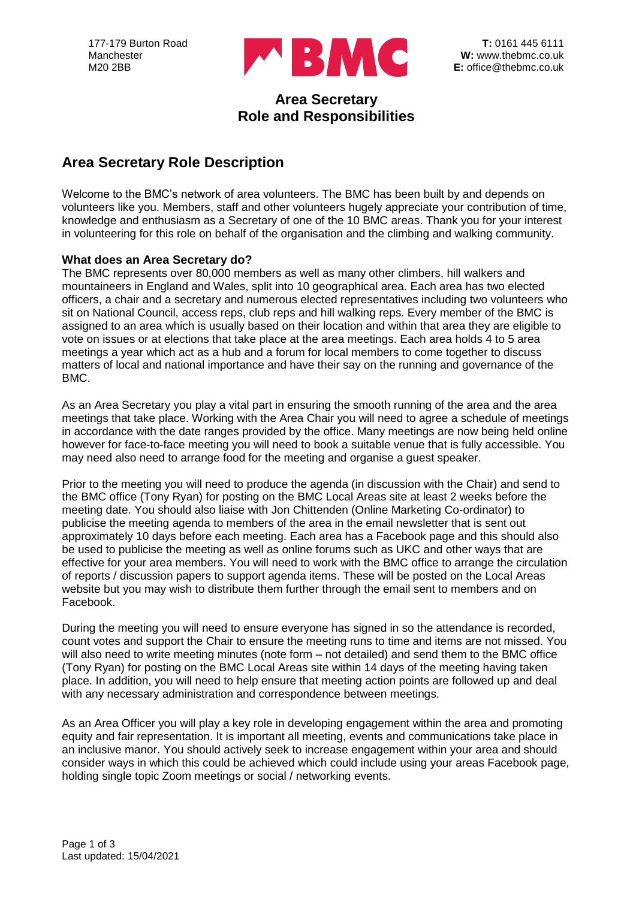

## **Area Secretary Role and Responsibilities**

# **Area Secretary Role Description**

Welcome to the BMC's network of area volunteers. The BMC has been built by and depends on volunteers like you. Members, staff and other volunteers hugely appreciate your contribution of time, knowledge and enthusiasm as a Secretary of one of the 10 BMC areas. Thank you for your interest in volunteering for this role on behalf of the organisation and the climbing and walking community.

### **What does an Area Secretary do?**

The BMC represents over 80,000 members as well as many other climbers, hill walkers and mountaineers in England and Wales, split into 10 geographical area. Each area has two elected officers, a chair and a secretary and numerous elected representatives including two volunteers who sit on National Council, access reps, club reps and hill walking reps. Every member of the BMC is assigned to an area which is usually based on their location and within that area they are eligible to vote on issues or at elections that take place at the area meetings. Each area holds 4 to 5 area meetings a year which act as a hub and a forum for local members to come together to discuss matters of local and national importance and have their say on the running and governance of the BMC.

As an Area Secretary you play a vital part in ensuring the smooth running of the area and the area meetings that take place. Working with the Area Chair you will need to agree a schedule of meetings in accordance with the date ranges provided by the office. Many meetings are now being held online however for face-to-face meeting you will need to book a suitable venue that is fully accessible. You may need also need to arrange food for the meeting and organise a guest speaker.

Prior to the meeting you will need to produce the agenda (in discussion with the Chair) and send to the BMC office (Tony Ryan) for posting on the BMC Local Areas site at least 2 weeks before the meeting date. You should also liaise with Jon Chittenden (Online Marketing Co-ordinator) to publicise the meeting agenda to members of the area in the email newsletter that is sent out approximately 10 days before each meeting. Each area has a Facebook page and this should also be used to publicise the meeting as well as online forums such as UKC and other ways that are effective for your area members. You will need to work with the BMC office to arrange the circulation of reports / discussion papers to support agenda items. These will be posted on the Local Areas website but you may wish to distribute them further through the email sent to members and on Facebook.

During the meeting you will need to ensure everyone has signed in so the attendance is recorded, count votes and support the Chair to ensure the meeting runs to time and items are not missed. You will also need to write meeting minutes (note form – not detailed) and send them to the BMC office (Tony Ryan) for posting on the BMC Local Areas site within 14 days of the meeting having taken place. In addition, you will need to help ensure that meeting action points are followed up and deal with any necessary administration and correspondence between meetings.

As an Area Officer you will play a key role in developing engagement within the area and promoting equity and fair representation. It is important all meeting, events and communications take place in an inclusive manor. You should actively seek to increase engagement within your area and should consider ways in which this could be achieved which could include using your areas Facebook page, holding single topic Zoom meetings or social / networking events.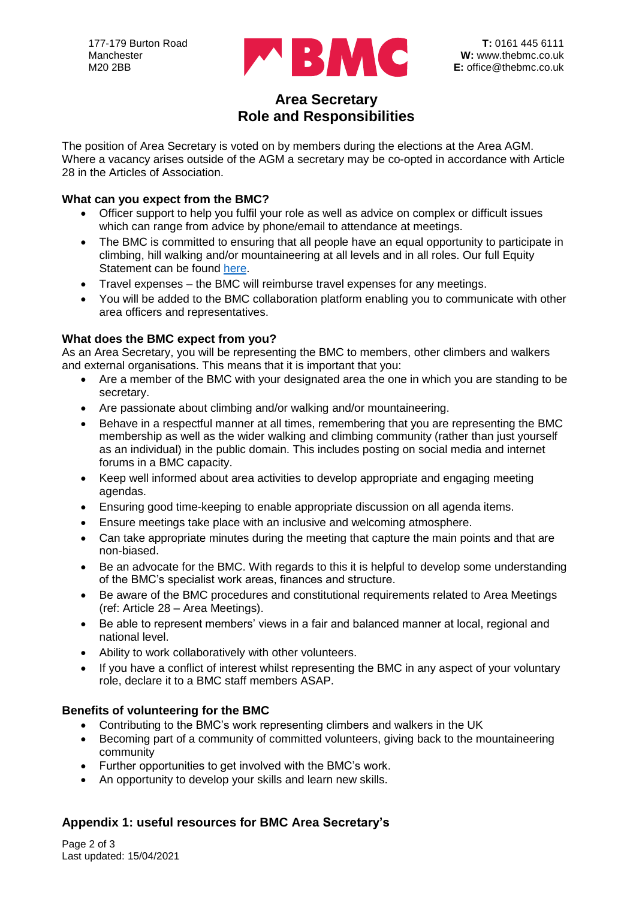

## **Area Secretary Role and Responsibilities**

The position of Area Secretary is voted on by members during the elections at the Area AGM. Where a vacancy arises outside of the AGM a secretary may be co-opted in accordance with Article 28 in the Articles of Association.

#### **What can you expect from the BMC?**

- Officer support to help you fulfil your role as well as advice on complex or difficult issues which can range from advice by phone/email to attendance at meetings.
- The BMC is committed to ensuring that all people have an equal opportunity to participate in climbing, hill walking and/or mountaineering at all levels and in all roles. Our full Equity Statement can be found [here.](https://www.thebmc.co.uk/bmc-equity-statement)
- Travel expenses the BMC will reimburse travel expenses for any meetings.
- You will be added to the BMC collaboration platform enabling you to communicate with other area officers and representatives.

### **What does the BMC expect from you?**

As an Area Secretary, you will be representing the BMC to members, other climbers and walkers and external organisations. This means that it is important that you:

- Are a member of the BMC with your designated area the one in which you are standing to be secretary.
- Are passionate about climbing and/or walking and/or mountaineering.
- Behave in a respectful manner at all times, remembering that you are representing the BMC membership as well as the wider walking and climbing community (rather than just yourself as an individual) in the public domain. This includes posting on social media and internet forums in a BMC capacity.
- Keep well informed about area activities to develop appropriate and engaging meeting agendas.
- Ensuring good time-keeping to enable appropriate discussion on all agenda items.
- Ensure meetings take place with an inclusive and welcoming atmosphere.
- Can take appropriate minutes during the meeting that capture the main points and that are non-biased.
- Be an advocate for the BMC. With regards to this it is helpful to develop some understanding of the BMC's specialist work areas, finances and structure.
- Be aware of the BMC procedures and constitutional requirements related to Area Meetings (ref: Article 28 – Area Meetings).
- Be able to represent members' views in a fair and balanced manner at local, regional and national level.
- Ability to work collaboratively with other volunteers.
- If you have a conflict of interest whilst representing the BMC in any aspect of your voluntary role, declare it to a BMC staff members ASAP.

## **Benefits of volunteering for the BMC**

- Contributing to the BMC's work representing climbers and walkers in the UK
- Becoming part of a community of committed volunteers, giving back to the mountaineering community
- Further opportunities to get involved with the BMC's work.
- An opportunity to develop your skills and learn new skills.

## **Appendix 1: useful resources for BMC Area Secretary's**

Page 2 of 3 Last updated: 15/04/2021